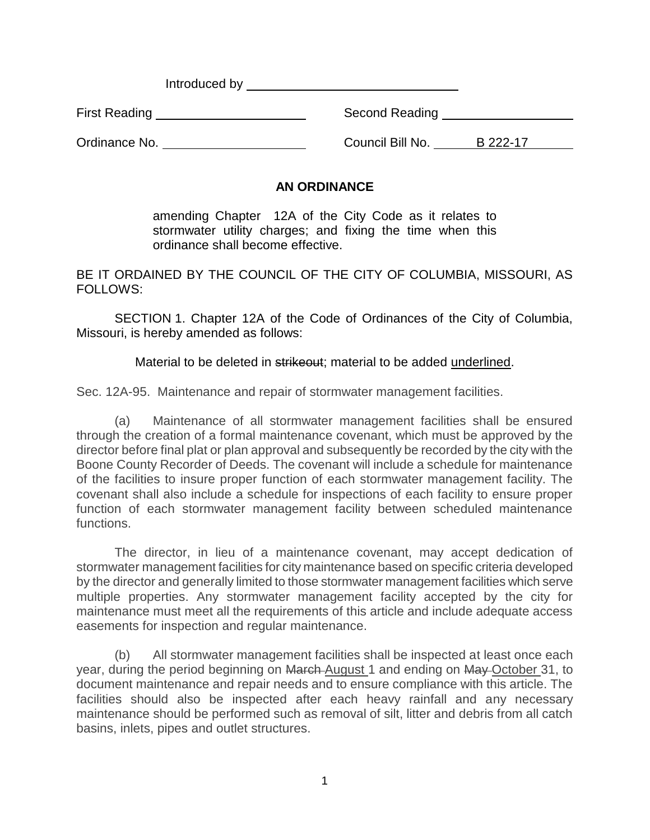Introduced by <u>example and the set of the set of the set of the set of the set of the set of the set of the set of the set of the set of the set of the set of the set of the set of the set of the set of the set of the set </u>

First Reading **Second Reading** Second Reading

Ordinance No. 2008 Council Bill No. 222-17

## **AN ORDINANCE**

amending Chapter 12A of the City Code as it relates to stormwater utility charges; and fixing the time when this ordinance shall become effective.

BE IT ORDAINED BY THE COUNCIL OF THE CITY OF COLUMBIA, MISSOURI, AS FOLLOWS:

SECTION 1. Chapter 12A of the Code of Ordinances of the City of Columbia, Missouri, is hereby amended as follows:

Material to be deleted in strikeout; material to be added underlined.

Sec. 12A-95. Maintenance and repair of stormwater management facilities.

(a) Maintenance of all stormwater management facilities shall be ensured through the creation of a formal maintenance covenant, which must be approved by the director before final plat or plan approval and subsequently be recorded by the city with the Boone County Recorder of Deeds. The covenant will include a schedule for maintenance of the facilities to insure proper function of each stormwater management facility. The covenant shall also include a schedule for inspections of each facility to ensure proper function of each stormwater management facility between scheduled maintenance functions.

The director, in lieu of a maintenance covenant, may accept dedication of stormwater management facilities for city maintenance based on specific criteria developed by the director and generally limited to those stormwater management facilities which serve multiple properties. Any stormwater management facility accepted by the city for maintenance must meet all the requirements of this article and include adequate access easements for inspection and regular maintenance.

(b) All stormwater management facilities shall be inspected at least once each year, during the period beginning on March August 1 and ending on May October 31, to document maintenance and repair needs and to ensure compliance with this article. The facilities should also be inspected after each heavy rainfall and any necessary maintenance should be performed such as removal of silt, litter and debris from all catch basins, inlets, pipes and outlet structures.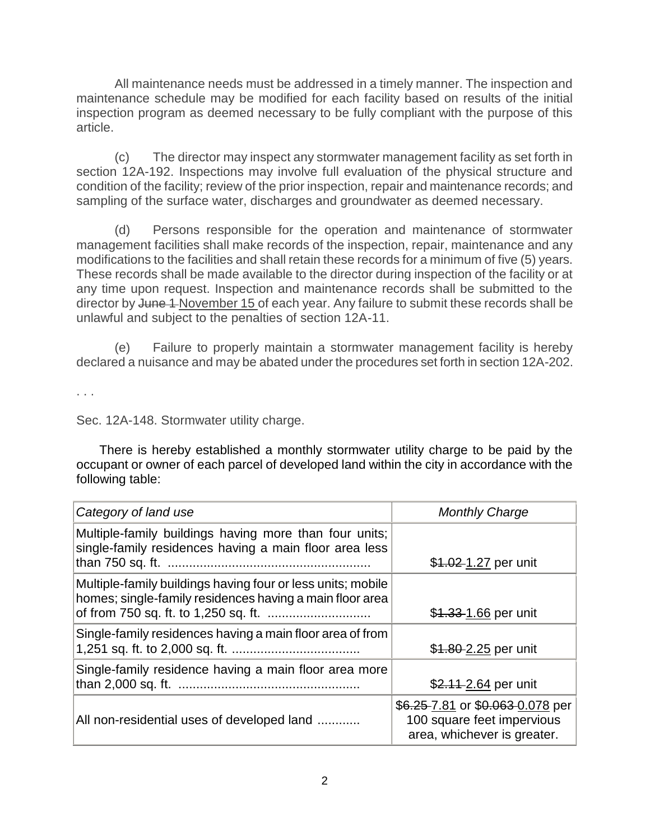All maintenance needs must be addressed in a timely manner. The inspection and maintenance schedule may be modified for each facility based on results of the initial inspection program as deemed necessary to be fully compliant with the purpose of this article.

(c) The director may inspect any stormwater management facility as set forth in section 12A-192. Inspections may involve full evaluation of the physical structure and condition of the facility; review of the prior inspection, repair and maintenance records; and sampling of the surface water, discharges and groundwater as deemed necessary.

(d) Persons responsible for the operation and maintenance of stormwater management facilities shall make records of the inspection, repair, maintenance and any modifications to the facilities and shall retain these records for a minimum of five (5) years. These records shall be made available to the director during inspection of the facility or at any time upon request. Inspection and maintenance records shall be submitted to the director by June 1-November 15 of each year. Any failure to submit these records shall be unlawful and subject to the penalties of section 12A-11.

(e) Failure to properly maintain a stormwater management facility is hereby declared a nuisance and may be abated under the procedures set forth in section 12A-202.

. . .

Sec. 12A-148. Stormwater utility charge.

There is hereby established a monthly stormwater utility charge to be paid by the occupant or owner of each parcel of developed land within the city in accordance with the following table:

| Category of land use                                                                                                    | <b>Monthly Charge</b>                                                                         |
|-------------------------------------------------------------------------------------------------------------------------|-----------------------------------------------------------------------------------------------|
| Multiple-family buildings having more than four units;<br>single-family residences having a main floor area less        | \$1.02-1.27 per unit                                                                          |
| Multiple-family buildings having four or less units; mobile<br>homes; single-family residences having a main floor area | \$1.33-1.66 per unit                                                                          |
| Single-family residences having a main floor area of from                                                               | \$1.80-2.25 per unit                                                                          |
| Single-family residence having a main floor area more                                                                   | \$2.11-2.64 per unit                                                                          |
| All non-residential uses of developed land                                                                              | \$6.25 7.81 or \$0.063 0.078 per<br>100 square feet impervious<br>area, whichever is greater. |